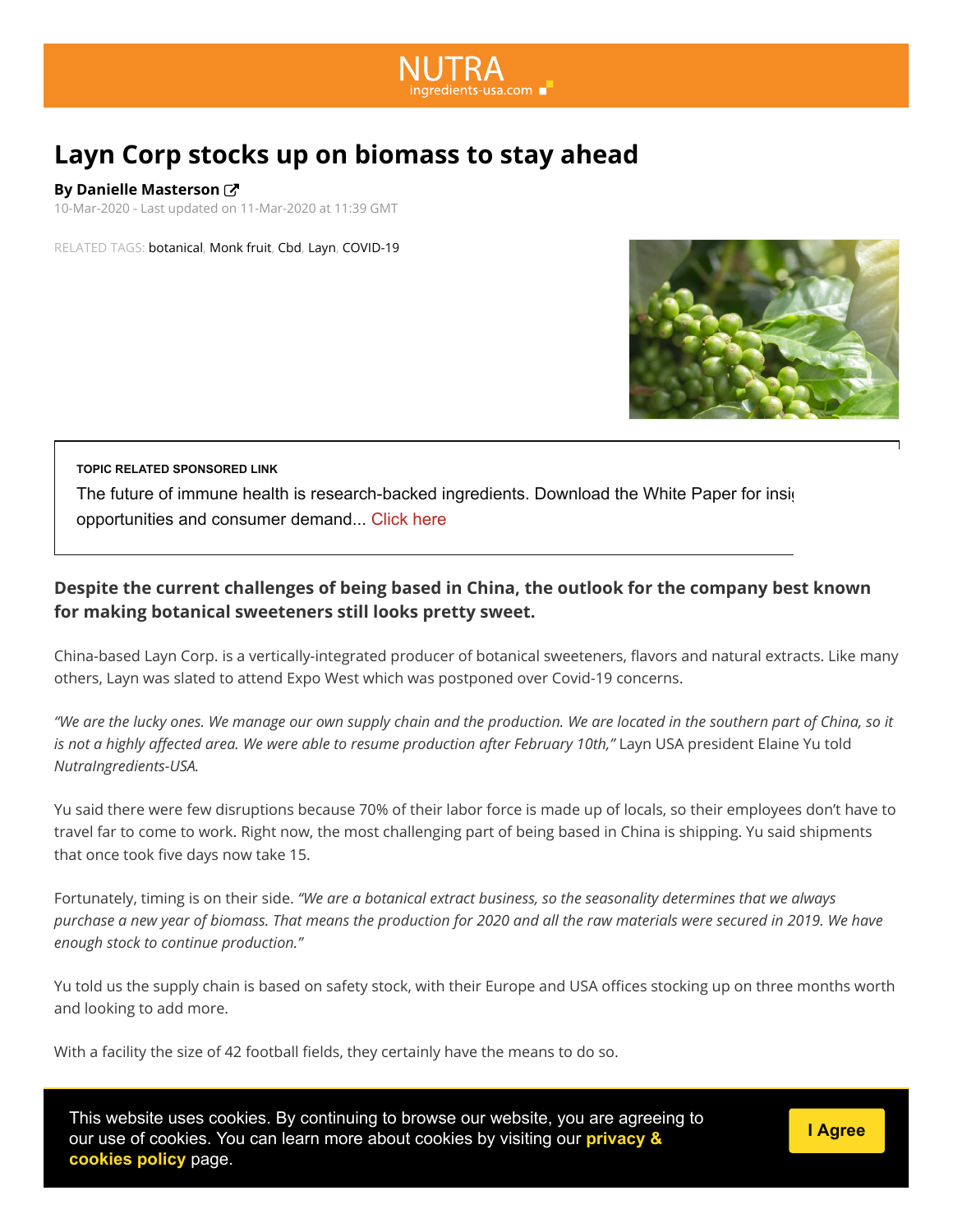# **Layn Corp stocks up on biomass to stay ahead**

**By Danielle Masterson** 

10-Mar-2020 - Last updated on 11-Mar-2020 at 11:39 GMT

RELATED TAGS: [botanical](https://www.nutraingredients-usa.com/tag/keyword/Food/botanical), [Monk fruit,](https://www.nutraingredients-usa.com/tag/keyword/Food/Monk%20fruit) [Cbd,](https://www.nutraingredients-usa.com/tag/keyword/Food/Cbd) [Layn,](https://www.nutraingredients-usa.com/tag/keyword/Food/Layn) [COVID-19](https://www.nutraingredients-usa.com/tag/keyword/Food/COVID-19)



#### **TOPIC RELATED SPONSORED LINK**

The future of immune health is research-backed ingredients. Download the White Paper for insight opportunities and consumer demand... [Click here](https://adclick.g.doubleclick.net/pcs/click?xai=AKAOjssl_KTuY-9-54U_JLlVrPN6--z_I5R7-9k4VMzEa_ric5_bm5aSPIsLaLZky4HeeNebhiT2SZ8seJCVFOCnIGLSA83MF7Rs7eNXjWpSeKhntfQXmcxs0vYuTd5a5EQPpTT67c4CSa_At6GRvhLrjDo3YtA3jZcaLh37esqpu0Me1EB1Bam83WlqqRGuK5qBlEcJxsIxe8pNhra6urJgbuBDSmc-Rebb-DgnynXLSjW3emXHlReoXsQ5kchmGI5IrL1c1DshZPGnSDJZPg-e-Gdj4fbOjs-vtkTbRz5zfJWBAqQnF8o&sai=AMfl-YSToEU64jLGIpPZUVjrMJ1dxUd2XSeQItnTiWwvm3Ou2tfTjhHy9w8RyzANQfaxggS_mZEaPbi0MTQO6UGN8Kp05s0XC4MtAbSjPOkjk45l-69iUec-_VNlPHc5pTHyYXku&sig=Cg0ArKJSzPaeclS8IEvGEAE&urlfix=1&adurl=https://explore.wellmune.com/Future-of-immune-health-lies-in-research.html%3Futm_source%3DNUTRA%26utm_medium%3DWEB%26utm_campaign%3DFUTUREPROOF%26utm_term%3D0920%26businesscategorysource%3DWellmune%26leadsource%3DDigital-Advertising%26campaignsource%3DNUTRA-WEB-FUTUREPROOF-0920)

#### **Despite the current challenges of being based in China, the outlook for the company best known for making botanical sweeteners still looks pretty sweet.**

China-based Layn Corp. is a vertically-integrated producer of botanical sweeteners, flavors and natural extracts. Like many others, Layn was slated to attend Expo West which was postponed over Covid-19 concerns.

*"We are the lucky ones. We manage our own supply chain and the production. We are located in the southern part of China, so it is not a highly affected area. We were able to resume production after February 10th,"* Layn USA president Elaine Yu told *NutraIngredients-USA.*

Yu said there were few disruptions because 70% of their labor force is made up of locals, so their employees don't have to travel far to come to work. Right now, the most challenging part of being based in China is shipping. Yu said shipments that once took five days now take 15.

Fortunately, timing is on their side. *"We are a botanical extract business, so the seasonality determines that we always purchase a new year of biomass. That means the production for 2020 and all the raw materials were secured in 2019. We have enough stock to continue production."* 

Yu told us the supply chain is based on safety stock, with their Europe and USA offices stocking up on three months worth and looking to add more.

With a facility the size of 42 football fields, they certainly have the means to do so.

This website uses cookies. By continuing to browse our website, you are agreeing to **Revamp**  [our use of cookies. You can learn more about cookies by visiting our](https://www.william-reed.com/Cookie-Statement) **privacy & cookies policy** page.

**[I Agree](javascript:AcknowelgeUseOfCookies())**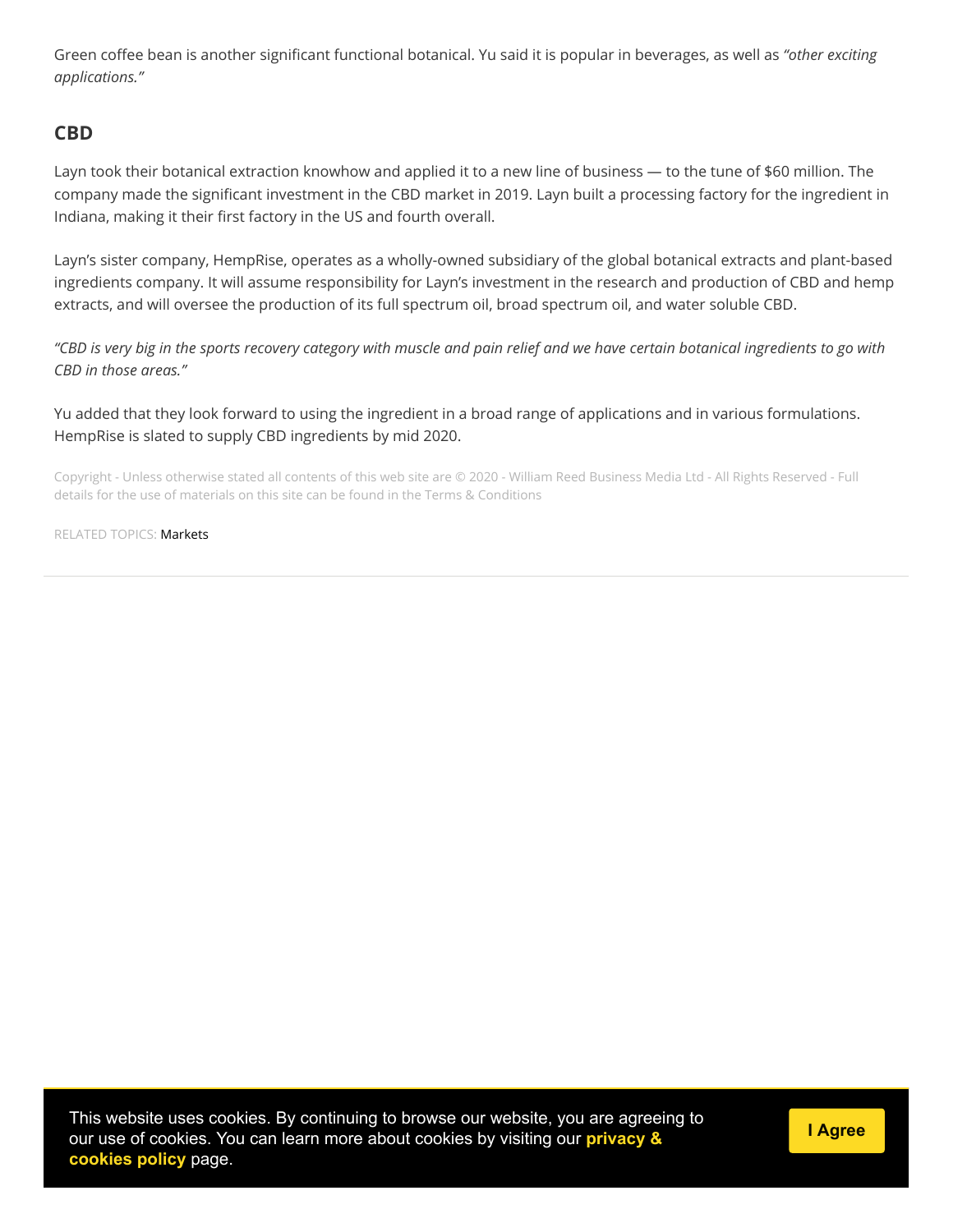Green coffee bean is another significant functional botanical. Yu said it is popular in beverages, as well as "other exciting *applications."*

## **CBD**

Layn took their botanical extraction knowhow and applied it to a new line of business — to the tune of \$60 million. The company made the significant investment in the CBD market in 2019. Layn built a processing factory for the ingredient in Indiana, making it their first factory in the US and fourth overall.

Layn's sister company, HempRise, operates as a wholly-owned subsidiary of the global botanical extracts and plant-based ingredients company. It will assume responsibility for Layn's investment in the research and production of CBD and hemp extracts, and will oversee the production of its full spectrum oil, broad spectrum oil, and water soluble CBD.

*"CBD is very big in the sports recovery category with muscle and pain relief and we have certain botanical ingredients to go with CBD in those areas."*

Yu added that they look forward to using the ingredient in a broad range of applications and in various formulations. HempRise is slated to supply CBD ingredients by mid 2020.

Copyright - Unless otherwise stated all contents of this web site are © 2020 - William Reed Business Media Ltd - All Rights Reserved - Full details for the use of materials on this site can be found in the [Terms & Conditions](https://www.william-reed.com/Terms-and-Conditions)

RELATED TOPICS: [Markets](https://www.nutraingredients-usa.com/News/Markets)